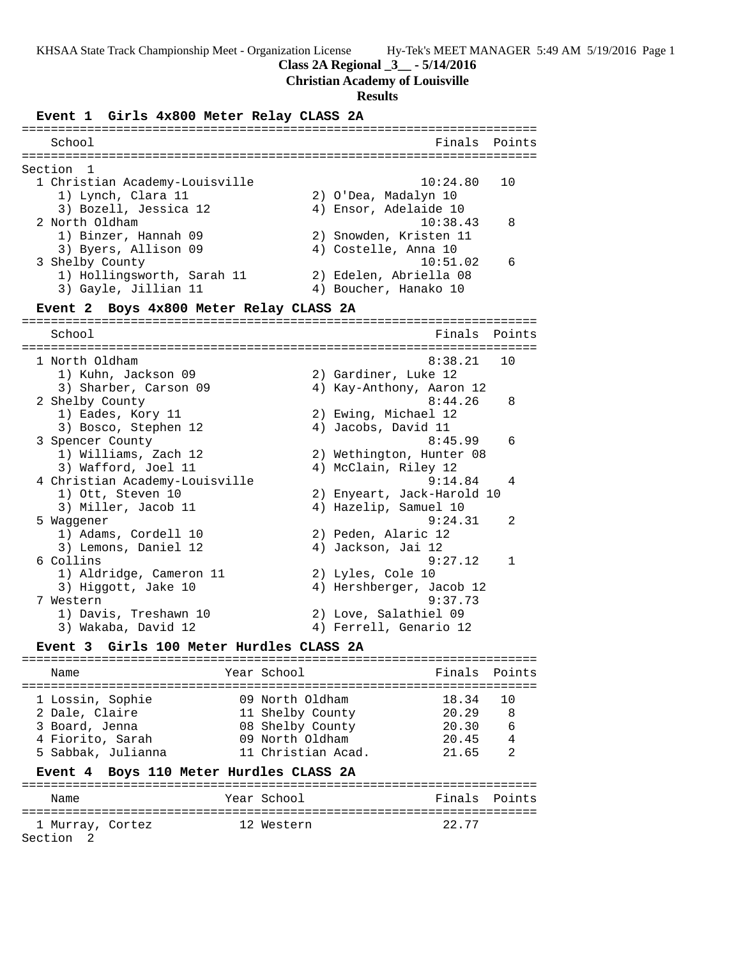#### **Class 2A Regional \_3\_\_ - 5/14/2016**

#### **Christian Academy of Louisville**

#### **Results**

#### **Event 1 Girls 4x800 Meter Relay CLASS 2A**

======================================================================= School **Finals** Points ======================================================================= Section 1 1 Christian Academy-Louisville 10:24.80 10 1) Lynch, Clara 11 2) O'Dea, Madalyn 10 3) Bozell, Jessica 12 4) Ensor, Adelaide 10 2 North Oldham 10:38.43 8 1) Binzer, Hannah 09 2) Snowden, Kristen 11 3) Byers, Allison 09 (4) Costelle, Anna 10 3 Shelby County 10:51.02 6 1) Hollingsworth, Sarah 11 2) Edelen, Abriella 08 3) Gayle, Jillian 11 4) Boucher, Hanako 10 **Event 2 Boys 4x800 Meter Relay CLASS 2A** ======================================================================= School **Finals Points** ======================================================================= 1 North Oldham 8:38.21 10 1) Kuhn, Jackson 09 2) Gardiner, Luke 12 3) Sharber, Carson 09 4) Kay-Anthony, Aaron 12 2 Shelby County 2 Shelby County 2 Shelby 2 Shelby 2 Shelby 2 Shelby 2 Shelby 2 Shelby 2 Shelby 2 Shelby 2 Shelby 2 Shelby 2 Shelby 2 Shelby 2 Shelby 2 Shelby 2 Shelby 2 Shelby 2 Shelby 2 Shelby 2 Shelby 2 Shelby 2 Shelby 2 1) Eades, Kory 11 2) Ewing, Michael 12 3) Bosco, Stephen 12 (4) Jacobs, David 11 3 Spencer County 8:45.99 6 1) Williams, Zach 12 2) Wethington, Hunter 08 3) Wafford, Joel 11 (4) McClain, Riley 12 4 Christian Academy-Louisville 9:14.84 4 1) Ott, Steven 10 2) Enyeart, Jack-Harold 10 3) Miller, Jacob 11 4) Hazelip, Samuel 10 5 Waggener 9:24.31 2 1) Adams, Cordell 10 2) Peden, Alaric 12 3) Lemons, Daniel 12 (4) Jackson, Jai 12 6 Collins 9:27.12 1 1) Aldridge, Cameron 11 2) Lyles, Cole 10 3) Higgott, Jake 10 4) Hershberger, Jacob 12 7 Western 9:37.73 1) Davis, Treshawn 10 2) Love, Salathiel 09 3) Wakaba, David 12 4) Ferrell, Genario 12 **Event 3 Girls 100 Meter Hurdles CLASS 2A** ======================================================================= Name The Year School Controll of Finals Points ======================================================================= 1 Lossin, Sophie 09 North Oldham 18.34 10 2 Dale, Claire 11 Shelby County 20.29 8 3 Board, Jenna 08 Shelby County 20.30 6 4 Fiorito, Sarah 09 North Oldham 20.45 4 5 Sabbak, Julianna 11 Christian Acad. 21.65 2

#### **Event 4 Boys 110 Meter Hurdles CLASS 2A**

| Name             | Year School | Finals Points |  |
|------------------|-------------|---------------|--|
|                  |             |               |  |
| 1 Murray, Cortez | 12 Western  | 22.77         |  |
| Section 2        |             |               |  |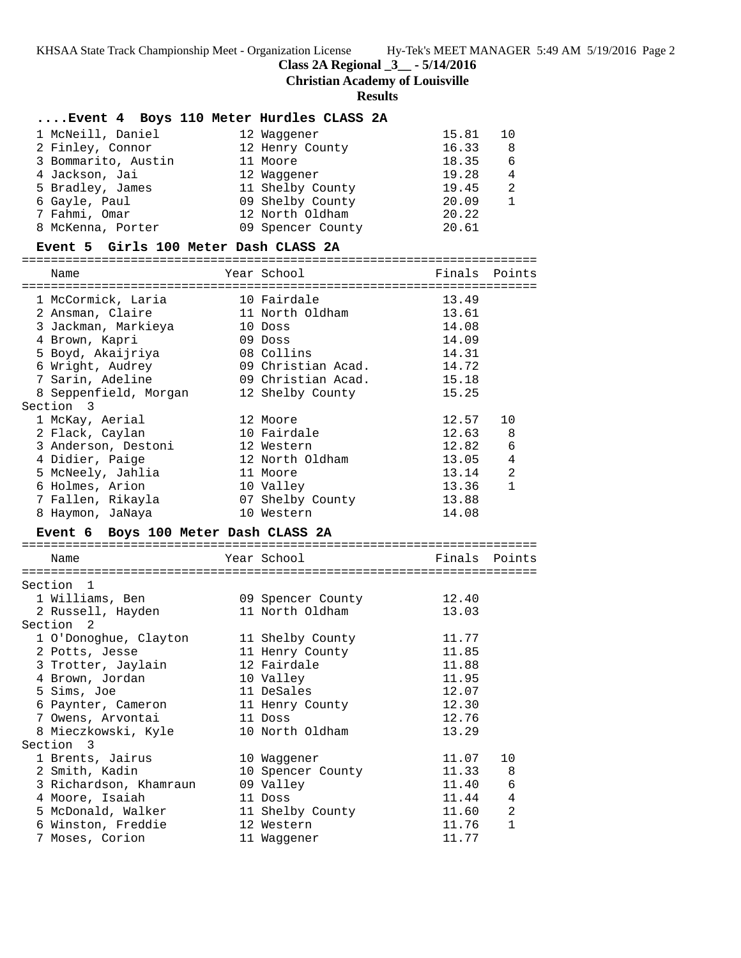**Class 2A Regional \_3\_\_ - 5/14/2016**

**Christian Academy of Louisville**

**Results**

| Event 4 Boys 110 Meter Hurdles CLASS 2A |                    |                |              |
|-----------------------------------------|--------------------|----------------|--------------|
| 1 McNeill, Daniel                       | 12 Waggener        | 15.81          | 10           |
| 2 Finley, Connor                        | 12 Henry County    | 16.33          | 8            |
| 3 Bommarito, Austin                     | 11 Moore           | 18.35          | 6            |
| 4 Jackson, Jai                          | 12 Waggener        | 19.28          | 4            |
| 5 Bradley, James                        | 11 Shelby County   | 19.45          | 2            |
| 6 Gayle, Paul                           | 09 Shelby County   | 20.09          | $\mathbf{1}$ |
| 7 Fahmi, Omar                           | 12 North Oldham    | 20.22          |              |
| 8 McKenna, Porter                       | 09 Spencer County  | 20.61          |              |
| Event 5 Girls 100 Meter Dash CLASS 2A   |                    |                |              |
|                                         |                    |                |              |
| Name                                    | Year School        | Finals         | Points       |
| 1 McCormick, Laria                      | 10 Fairdale        | 13.49          |              |
| 2 Ansman, Claire                        | 11 North Oldham    | 13.61          |              |
| 3 Jackman, Markieya                     | 10 Doss            | 14.08          |              |
| 4 Brown, Kapri                          | 09 Doss            | 14.09          |              |
| 5 Boyd, Akaijriya                       | 08 Collins         | 14.31          |              |
| 6 Wright, Audrey                        | 09 Christian Acad. | 14.72          |              |
| 7 Sarin, Adeline                        | 09 Christian Acad. | 15.18          |              |
| 8 Seppenfield, Morgan                   | 12 Shelby County   | 15.25          |              |
| Section 3                               |                    |                |              |
| 1 McKay, Aerial                         | 12 Moore           | 12.57          | 10           |
| 2 Flack, Caylan                         | 10 Fairdale        | 12.63          | 8            |
| 3 Anderson, Destoni                     | 12 Western         | 12.82          | 6            |
| 4 Didier, Paige                         | 12 North Oldham    | 13.05          | 4            |
| 5 McNeely, Jahlia                       | 11 Moore           | 13.14          | 2            |
| 6 Holmes, Arion                         | 10 Valley          | 13.36          | $\mathbf{1}$ |
| 7 Fallen, Rikayla                       | 07 Shelby County   | 13.88          |              |
| 8 Haymon, JaNaya                        | 10 Western         | 14.08          |              |
| Event 6 Boys 100 Meter Dash CLASS 2A    |                    |                |              |
| Name                                    | Year School        | Finals         | Points       |
|                                         |                    |                |              |
| Section<br>$\mathbf{1}$                 |                    |                |              |
| 1 Williams, Ben                         | 09 Spencer County  | 12.40          |              |
| 2 Russell, Hayden                       | 11 North Oldham    | 13.03          |              |
| Section<br>2                            |                    |                |              |
| 1 O'Donoghue, Clayton 11 Shelby County  |                    | 11.77          |              |
| 2 Potts, Jesse                          | 11 Henry County    | 11.85          |              |
| 3 Trotter, Jaylain                      | 12 Fairdale        | 11.88          |              |
| 4 Brown, Jordan                         | 10 Valley          | 11.95          |              |
| 5 Sims, Joe                             | 11 DeSales         | 12.07          |              |
| 6 Paynter, Cameron                      | 11 Henry County    | 12.30          |              |
| 7 Owens, Arvontai                       | 11 Doss            | 12.76          |              |
| 8 Mieczkowski, Kyle                     | 10 North Oldham    | 13.29          |              |
| Section 3                               |                    |                |              |
| 1 Brents, Jairus                        | 10 Waggener        | 11.07          | 10           |
| 2 Smith, Kadin                          | 10 Spencer County  | 11.33          | 8            |
| 3 Richardson, Khamraun                  | 09 Valley          | 11.40          | 6            |
| 4 Moore, Isaiah                         | 11 Doss            | 11.44          | 4            |
| 5 McDonald, Walker                      | 11 Shelby County   | 11.60          | 2            |
| 6 Winston, Freddie<br>7 Moses, Corion   | 12 Western         | 11.76<br>11.77 | 1            |
|                                         | 11 Waggener        |                |              |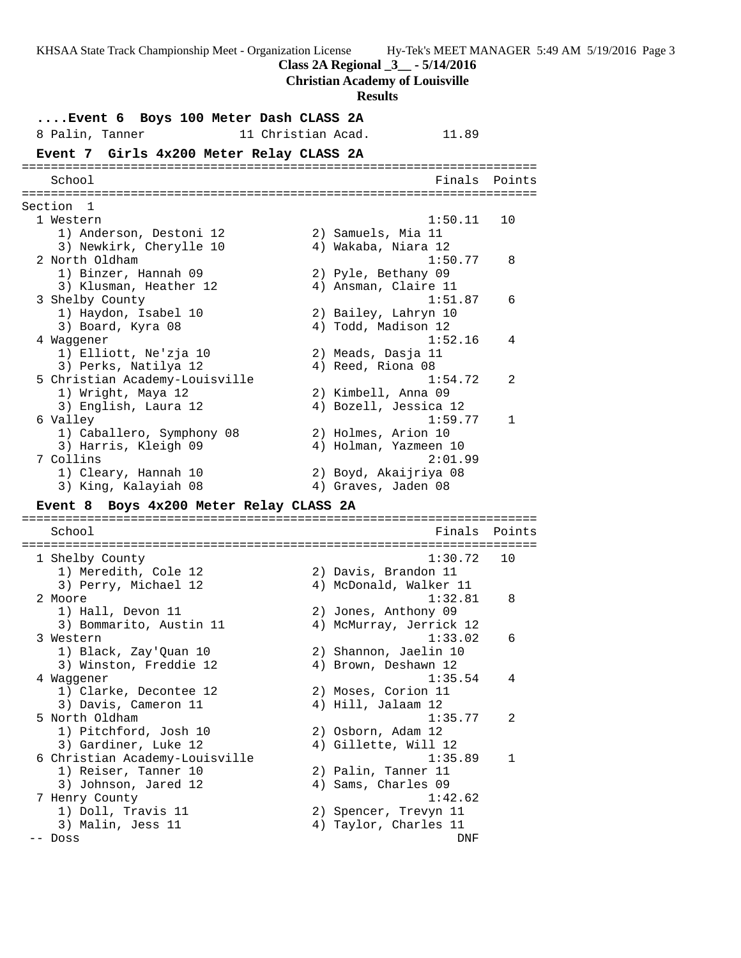**Class 2A Regional \_3\_\_ - 5/14/2016**

**Christian Academy of Louisville**

#### **Results**

**....Event 6 Boys 100 Meter Dash CLASS 2A** 8 Palin, Tanner 11 Christian Acad. 11.89 **Event 7 Girls 4x200 Meter Relay CLASS 2A** ======================================================================= School **Finals** Points ======================================================================= Section 1 1 Western 1:50.11 10 1) Anderson, Destoni 12 2) Samuels, Mia 11 3) Newkirk, Cherylle 10 4) Wakaba, Niara 12 2 North Oldham 1:50.77 8 1) Binzer, Hannah 09 2) Pyle, Bethany 09 3) Klusman, Heather 12 4) Ansman, Claire 11 3 Shelby County 1:51.87 6 1) Haydon, Isabel 10 2) Bailey, Lahryn 10 3) Board, Kyra 08 4) Todd, Madison 12 4 Waggener 1:52.16 4 1) Elliott, Ne'zja 10 2) Meads, Dasja 11 3) Perks, Natilya 12 (4) Reed, Riona 08 5 Christian Academy-Louisville 1:54.72 2 1) Wright, Maya 12 2) Kimbell, Anna 09 3) English, Laura 12 4) Bozell, Jessica 12 6 Valley 1:59.77 1 1) Caballero, Symphony 08 2) Holmes, Arion 10 3) Harris, Kleigh 09 4) Holman, Yazmeen 10 7 Collins 2:01.99 1) Cleary, Hannah 10 2) Boyd, Akaijriya 08 3) King, Kalayiah 08 (4) Graves, Jaden 08 **Event 8 Boys 4x200 Meter Relay CLASS 2A** ======================================================================= School **Finals Points** ======================================================================= 1 Shelby County 1:30.72 10 1) Meredith, Cole 12 2) Davis, Brandon 11 3) Perry, Michael 12 4) McDonald, Walker 11 2 Moore 1:32.81 8 1) Hall, Devon 11 2) Jones, Anthony 09 3) Bommarito, Austin 11 4) McMurray, Jerrick 12 3 Western 1:33.02 6 1) Black, Zay'Quan 10 2) Shannon, Jaelin 10 3) Winston, Freddie 12 (4) Brown, Deshawn 12 4 Waggener 1:35.54 4 1) Clarke, Decontee 12 (2) Moses, Corion 11 3) Davis, Cameron 11 (4) Hill, Jalaam 12 5 North Oldham 1:35.77 2 1) Pitchford, Josh 10 2) Osborn, Adam 12 3) Gardiner, Luke 12 (4) Gillette, Will 12 6 Christian Academy-Louisville 1:35.89 1 1) Reiser, Tanner 10 2) Palin, Tanner 11 3) Johnson, Jared 12 (4) Sams, Charles 09 7 Henry County 1:42.62 1) Doll, Travis 11 2) Spencer, Trevyn 11 3) Malin, Jess 11 4) Taylor, Charles 11 -- Doss DNF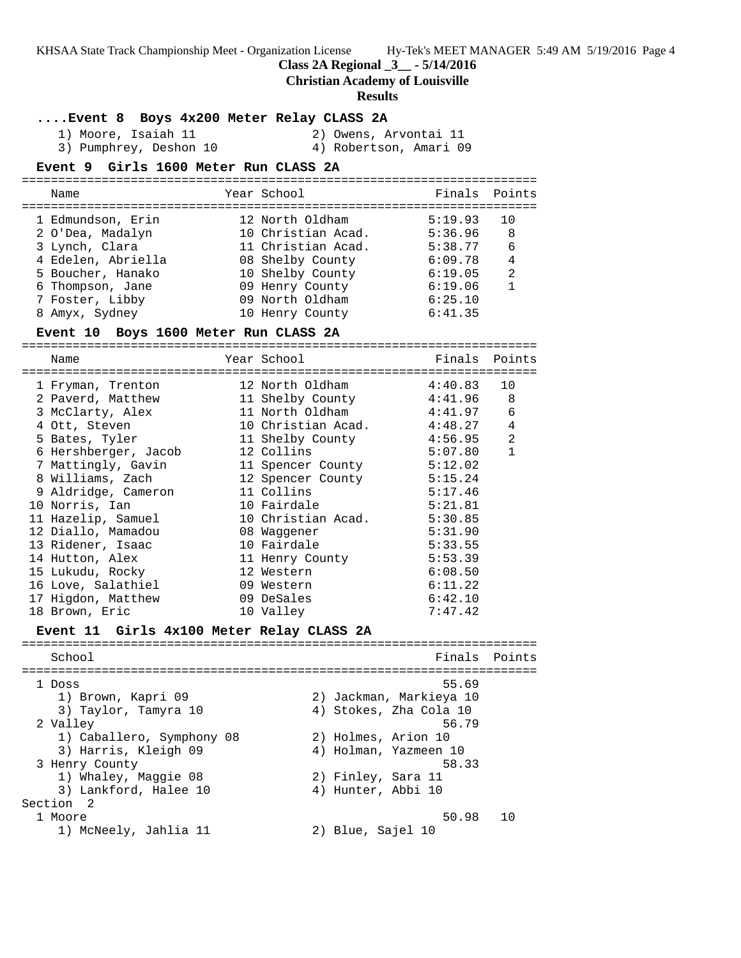**Class 2A Regional \_3\_\_ - 5/14/2016**

#### **Christian Academy of Louisville**

#### **Results**

**....Event 8 Boys 4x200 Meter Relay CLASS 2A**

 1) Moore, Isaiah 11 2) Owens, Arvontai 11 3) Pumphrey, Deshon 10 4) Robertson, Amari 09

#### **Event 9 Girls 1600 Meter Run CLASS 2A**

| Name               | Year School        | Finals Points |     |
|--------------------|--------------------|---------------|-----|
| 1 Edmundson, Erin  | 12 North Oldham    | 5:19.93       | 1 O |
| 2 O'Dea, Madalyn   | 10 Christian Acad. | 5:36.96       | 8   |
| 3 Lynch, Clara     | 11 Christian Acad. | 5:38.77       | 6   |
| 4 Edelen, Abriella | 08 Shelby County   | 6:09.78       | 4   |
| 5 Boucher, Hanako  | 10 Shelby County   | 6:19.05       | 2   |
| 6 Thompson, Jane   | 09 Henry County    | 6:19.06       |     |
| 7 Foster, Libby    | 09 North Oldham    | 6:25.10       |     |
| 8 Amyx, Sydney     | 10 Henry County    | 6:41.35       |     |

#### **Event 10 Boys 1600 Meter Run CLASS 2A**

=======================================================================

| Name                                                                              | Year School                               |         | Finals Points  |
|-----------------------------------------------------------------------------------|-------------------------------------------|---------|----------------|
| 1 Fryman, Trenton                                                                 | 12 North Oldham 4:40.83                   |         | 10             |
| 2 Paverd, Matthew                                                                 | 11 Shelby County                          | 4:41.96 | 8              |
| 3 McClarty, Alex                                                                  | 11 North Oldham                   4:41.97 |         | 6              |
| 4 Ott, Steven                                                                     | 10 Christian Acad. 4:48.27                |         | 4              |
| 5 Bates, Tyler                                                                    | 11 Shelby County                          | 4:56.95 | $\overline{2}$ |
| 6 Hershberger, Jacob                                                              | 12 Collins                                | 5:07.80 | $\mathbf{1}$   |
| 7 Mattingly, Gavin 11 Spencer County 5:12.02                                      |                                           |         |                |
| 8 Williams, Zach 12 Spencer County 5:15.24                                        |                                           |         |                |
| 9 Aldridge, Cameron                                                               | 11 Collins                                | 5:17.46 |                |
| 10 Norris, Ian                                                                    | 10 Fairdale                               | 5:21.81 |                |
| 11 Hazelip, Samuel 10 Christian Acad.                                             |                                           | 5:30.85 |                |
| 12 Diallo, Mamadou                                                                | 08 Waqqener                               | 5:31.90 |                |
| 13 Ridener, Isaac                                                                 | 10 Fairdale                               | 5:33.55 |                |
|                                                                                   |                                           | 5:53.39 |                |
| 15 Lukudu, Rocky                                                                  | 12 Western                                | 6:08.50 |                |
| 16 Love, Salathiel                                                                | 09 Western                                | 6:11.22 |                |
| 17 Higdon, Matthew                                                                | 09 DeSales                                | 6:42.10 |                |
| 18 Brown, Eric                                                                    | 10 Valley                                 | 7:47.42 |                |
| Event 11 Girls 4x100 Meter Relay CLASS 2A<br>------------------------------------ |                                           |         |                |

School **Finals** Points ======================================================================= 1 Doss 55.69 1) Brown, Kapri 09 2) Jackman, Markieya 10 3) Taylor, Tamyra 10 4) Stokes, Zha Cola 10 2 Valley 56.79 1) Caballero, Symphony 08 2) Holmes, Arion 10 3) Harris, Kleigh 09 4) Holman, Yazmeen 10 3 Henry County 58.33 1) Whaley, Maggie 08 2) Finley, Sara 11 denry county<br>1) Whaley, Maggie 08 (2) Finley, Sara 11<br>3) Lankford, Halee 10 (4) Hunter, Abbi 10 Section 2 1 Moore 50.98 10<br>1) McNeely, Jahlia 11 (2) Blue, Sajel 10 1) McNeely, Jahlia 11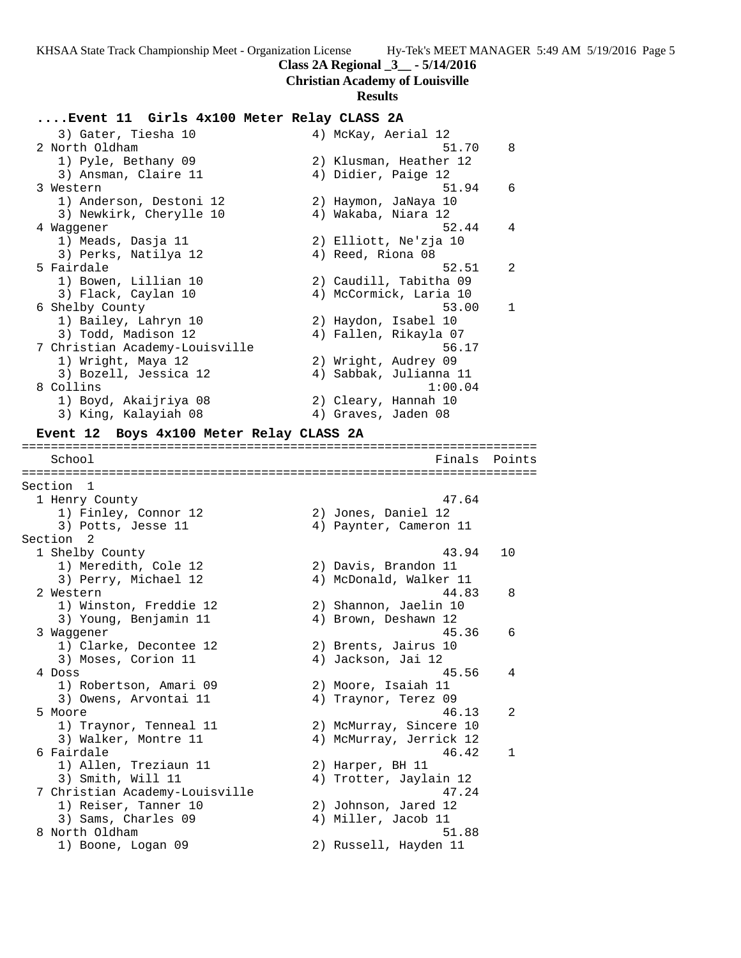#### **Class 2A Regional \_3\_\_ - 5/14/2016**

#### **Christian Academy of Louisville**

#### **Results**

#### **....Event 11 Girls 4x100 Meter Relay CLASS 2A**

3) Gater, Tiesha 10  $\begin{array}{ccc} 4) & McKay, Aerial 12 \\ 2 & North Oldham & 51.70 \\ 8 & 4 & 4 \end{array}$  2 North Oldham 51.70 8 1) Pyle, Bethany 09 2) Klusman, Heather 12 3) Ansman, Claire 11 (4) Didier, Paige 12 3 Western 51.94 6 1) Anderson, Destoni 12 2) Haymon, JaNaya 10 3) Newkirk, Cherylle 10 4) Wakaba, Niara 12 4 Waggener 52.44 4 1) Meads, Dasja 11 2) Elliott, Ne'zja 10 3) Perks, Natilya 12 (4) Reed, Riona 08 5 Fairdale 52.51 2 1) Bowen, Lillian 10 2) Caudill, Tabitha 09 3) Flack, Caylan 10 4) McCormick, Laria 10 6 Shelby County 53.00 1 1) Bailey, Lahryn 10 2) Haydon, Isabel 10 3) Todd, Madison 12 4) Fallen, Rikayla 07 7 Christian Academy-Louisville 56.17 1) Wright, Maya 12 2) Wright, Audrey 09 3) Bozell, Jessica 12 4) Sabbak, Julianna 11 8 Collins 1:00.04 1) Boyd, Akaijriya 08 2) Cleary, Hannah 10 3) King, Kalayiah 08 **4) Graves, Jaden 08 Event 12 Boys 4x100 Meter Relay CLASS 2A** ======================================================================= School **Finals Points** ======================================================================= Section 1 1 Henry County 47.64

Section 2<br>1 Shelby County 1) Meredith, Cole 12 2) Davis, Brandon 11 3) Young, Benjamin 11 4) Brown, Deshawn 12 1) Clarke, Decontee 12 (2) Brents, Jairus 10 3) Moses, Corion 11 (4) Jackson, Jai 12 1) Robertson, Amari 09 2) Moore, Isaiah 11 3) Owens, Arvontai 11  $\qquad \qquad \qquad$  4) Traynor, Terez 09 1) Allen, Treziaun 11 and 2) Harper, BH 11 1) Reiser, Tanner 10 2) Johnson, Jared 12 3) Sams, Charles 09 4) Miller, Jacob 11

 1) Finley, Connor 12 2) Jones, Daniel 12 3) Potts, Jesse 11 4) Paynter, Cameron 11 1 Shelby County 43.94 10 3) Perry, Michael 12 4) McDonald, Walker 11 2 Western 44.83 8 1) Winston, Freddie 12 2) Shannon, Jaelin 10 3 Waggener 45.36 6 4 Doss 45.56 4 5 Moore 46.13 2 1) Traynor, Tenneal 11 2) McMurray, Sincere 10 3) Walker, Montre 11 4) McMurray, Jerrick 12 6 Fairdale 46.42 1 3) Smith, Will 11 4) Trotter, Jaylain 12 7 Christian Academy-Louisville 47.24 8 North Oldham 51.88 1) Boone, Logan 09 2) Russell, Hayden 11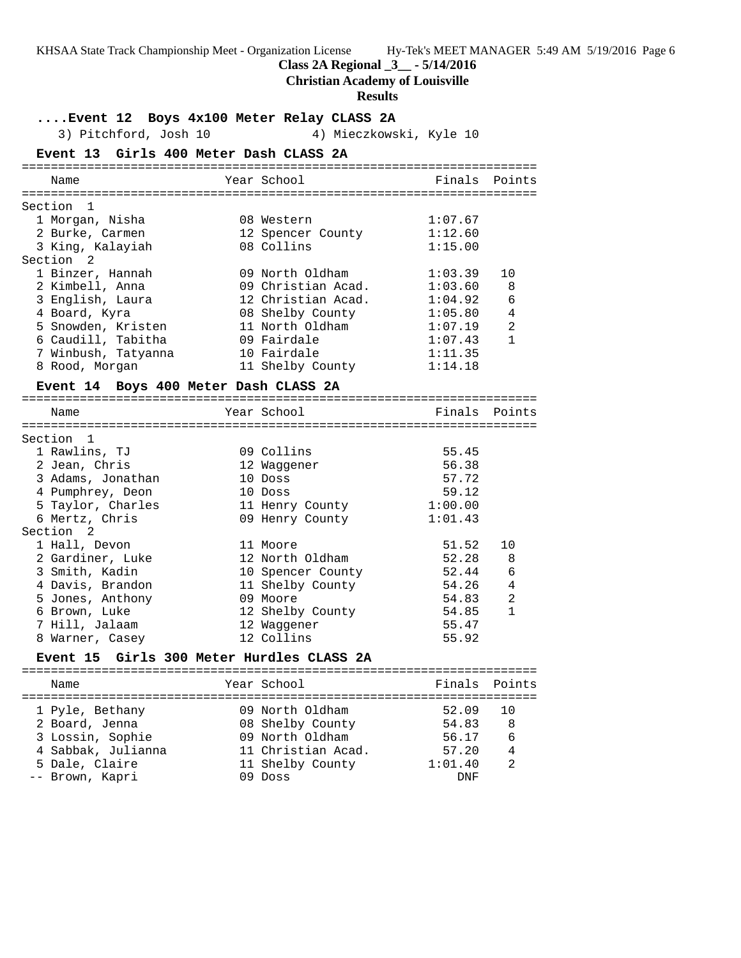**Class 2A Regional \_3\_\_ - 5/14/2016**

#### **Christian Academy of Louisville**

#### **Results**

**....Event 12 Boys 4x100 Meter Relay CLASS 2A** 3) Pitchford, Josh 10 4) Mieczkowski, Kyle 10 **Event 13 Girls 400 Meter Dash CLASS 2A** ======================================================================= Name The Year School The Finals Points ======================================================================= Section 1 1 Morgan, Nisha 08 Western 1:07.67 2 Burke, Carmen 12 Spencer County 1:12.60 3 King, Kalayiah 08 Collins 1:15.00 Section 2 1 Binzer, Hannah 09 North Oldham 1:03.39 10 2 Kimbell, Anna 09 Christian Acad. 1:03.60 8 3 English, Laura 12 Christian Acad. 1:04.92 6 4 Board, Kyra 08 Shelby County 1:05.80 4 5 Snowden, Kristen 11 North Oldham 1:07.19 2 6 Caudill, Tabitha 09 Fairdale 1:07.43 1 7 Winbush, Tatyanna 10 Fairdale 1:11.35 8 Rood, Morgan 11 Shelby County 1:14.18 **Event 14 Boys 400 Meter Dash CLASS 2A** ======================================================================= Name The Year School The Finals Points ======================================================================= Section 1 1 Rawlins, TJ 09 Collins 55.45 2 Jean, Chris 12 Waggener 56.38 3 Adams, Jonathan 10 Doss 57.72 4 Pumphrey, Deon 10 Doss 59.12 5 Taylor, Charles 11 Henry County 1:00.00 6 Mertz, Chris 09 Henry County 1:01.43 Section 2 1 Hall, Devon 11 Moore 51.52 10 2 Gardiner, Luke 12 North Oldham 52.28 8 3 Smith, Kadin 10 Spencer County 52.44 6 4 Davis, Brandon 11 Shelby County 54.26 4 5 Jones, Anthony 09 Moore 54.83 2 6 Brown, Luke 12 Shelby County 54.85 1 7 Hill, Jalaam 12 Waggener 55.47 8 Warner, Casey 12 Collins 55.92 **Event 15 Girls 300 Meter Hurdles CLASS 2A** ======================================================================= Name The Year School Team Points Points ======================================================================= 1 Pyle, Bethany 09 North Oldham 52.09 10 2 Board, Jenna 08 Shelby County 54.83 8 3 Lossin, Sophie 09 North Oldham 56.17 6

 4 Sabbak, Julianna 11 Christian Acad. 57.20 4 5 Dale, Claire 11 Shelby County 1:01.40 2 -- Brown, Kapri 09 Doss DNF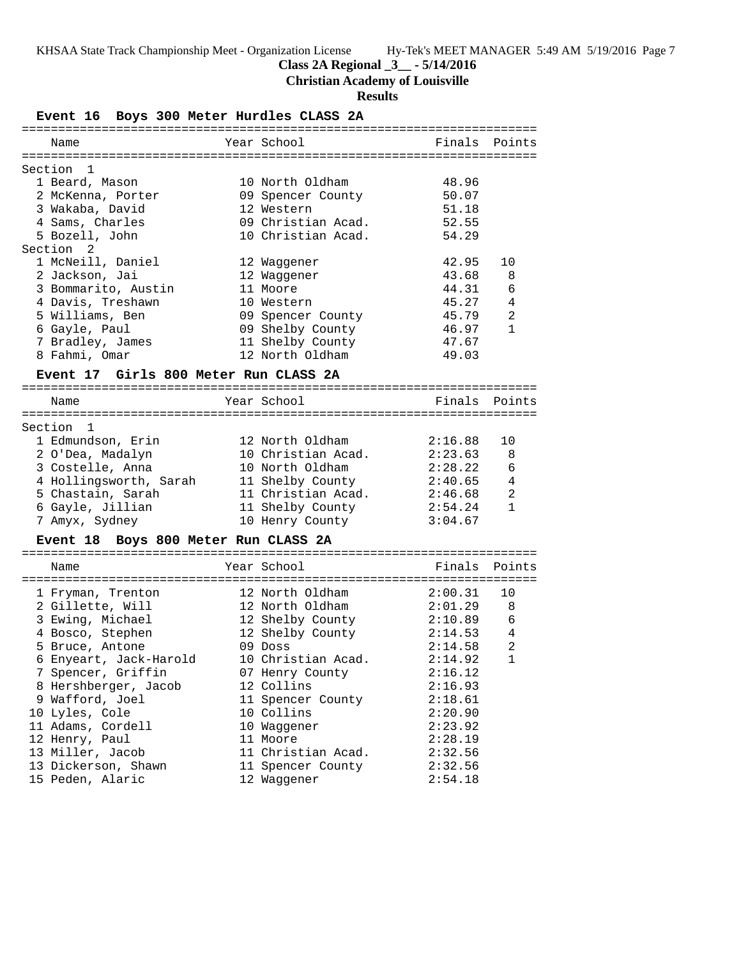## **Class 2A Regional \_3\_\_ - 5/14/2016**

# **Christian Academy of Louisville**

### **Results**

**Event 16 Boys 300 Meter Hurdles CLASS 2A**

| ============                          |                    |         |                |
|---------------------------------------|--------------------|---------|----------------|
| Name                                  | Year School        | Finals  | Points         |
| Section<br>-1                         |                    |         |                |
| 1 Beard, Mason                        | 10 North Oldham    | 48.96   |                |
| 2 McKenna, Porter                     | 09 Spencer County  | 50.07   |                |
| 3 Wakaba, David                       | 12 Western         | 51.18   |                |
| 4 Sams, Charles                       | 09 Christian Acad. | 52.55   |                |
| 5 Bozell, John                        | 10 Christian Acad. | 54.29   |                |
| Section <sub>2</sub>                  |                    |         |                |
| 1 McNeill, Daniel                     | 12 Waggener        | 42.95   | 10             |
| 2 Jackson, Jai                        | 12 Waggener        | 43.68   | 8              |
| 3 Bommarito, Austin                   | 11 Moore           | 44.31   | 6              |
|                                       | 10 Western         | 45.27   | 4              |
| 4 Davis, Treshawn                     |                    |         | 2              |
| 5 Williams, Ben                       | 09 Spencer County  | 45.79   | $\mathbf{1}$   |
| 6 Gayle, Paul                         | 09 Shelby County   | 46.97   |                |
| 7 Bradley, James                      | 11 Shelby County   | 47.67   |                |
| 8 Fahmi, Omar                         | 12 North Oldham    | 49.03   |                |
| Event 17 Girls 800 Meter Run CLASS 2A |                    |         |                |
|                                       |                    |         |                |
| Name                                  | Year School        | Finals  | Points         |
| Section 1                             |                    |         |                |
| 1 Edmundson, Erin                     | 12 North Oldham    | 2:16.88 | 10             |
| 2 O'Dea, Madalyn                      | 10 Christian Acad. | 2:23.63 | 8              |
| 3 Costelle, Anna                      | 10 North Oldham    | 2:28.22 | 6              |
| 4 Hollingsworth, Sarah                | 11 Shelby County   | 2:40.65 | 4              |
| 5 Chastain, Sarah                     | 11 Christian Acad. | 2:46.68 | $\overline{a}$ |
| 6 Gayle, Jillian                      | 11 Shelby County   | 2:54.24 | $\mathbf{1}$   |
| 7 Amyx, Sydney                        | 10 Henry County    | 3:04.67 |                |
| Event 18 Boys 800 Meter Run CLASS 2A  |                    |         |                |
|                                       |                    |         |                |
| Name                                  | Year School        | Finals  | Points         |
| 1 Fryman, Trenton                     | 12 North Oldham    | 2:00.31 | 10             |
| 2 Gillette, Will                      | 12 North Oldham    | 2:01.29 | 8              |
| 3 Ewing, Michael                      | 12 Shelby County   | 2:10.89 | 6              |
| 4 Bosco, Stephen                      | 12 Shelby County   | 2:14.53 | $\overline{4}$ |
| 5 Bruce, Antone                       | $09$ Doss          | 2:14.58 | $\overline{a}$ |
| 6 Enyeart, Jack-Harold                | 10 Christian Acad. | 2:14.92 | $\mathbf{1}$   |
| 7 Spencer, Griffin                    | 07 Henry County    | 2:16.12 |                |
|                                       |                    |         |                |
| 8 Hershberger, Jacob                  | 12 Collins         | 2:16.93 |                |
| 9 Wafford, Joel                       | 11 Spencer County  | 2:18.61 |                |
| 10 Lyles, Cole                        | 10 Collins         | 2:20.90 |                |
| 11 Adams, Cordell                     | 10 Waggener        | 2:23.92 |                |
| 12 Henry, Paul                        | 11 Moore           | 2:28.19 |                |
| 13 Miller, Jacob                      | 11 Christian Acad. | 2:32.56 |                |
| 13 Dickerson, Shawn                   | 11 Spencer County  | 2:32.56 |                |
| 15 Peden, Alaric                      | 12 Waggener        | 2:54.18 |                |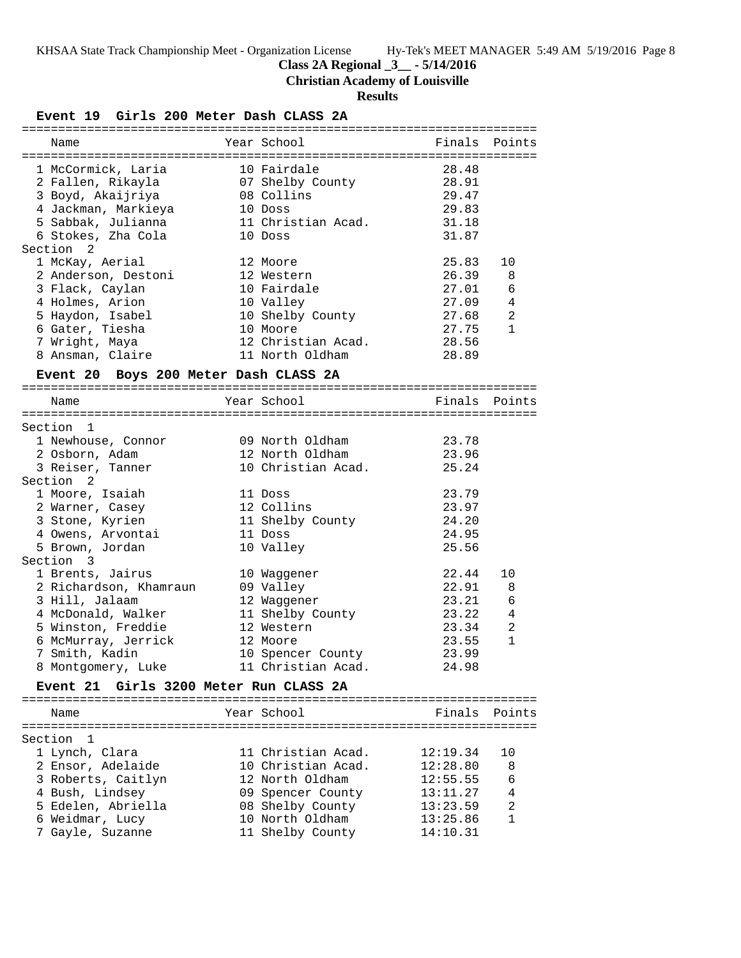# **Class 2A Regional \_3\_\_ - 5/14/2016**

**Christian Academy of Louisville**

## **Results**

### **Event 19 Girls 200 Meter Dash CLASS 2A**

| Name                                             | Year School        | Finals | Points         |
|--------------------------------------------------|--------------------|--------|----------------|
| 1 McCormick, Laria                               | 10 Fairdale        | 28.48  |                |
| 2 Fallen, Rikayla                                | 07 Shelby County   | 28.91  |                |
| 3 Boyd, Akaijriya                                | 08 Collins         | 29.47  |                |
| 4 Jackman, Markieya                              | 10 Doss            | 29.83  |                |
| 5 Sabbak, Julianna                               | 11 Christian Acad. | 31.18  |                |
| 6 Stokes, Zha Cola                               | 10 Doss            | 31.87  |                |
| Section 2                                        |                    |        |                |
| 1 McKay, Aerial                                  | 12 Moore           | 25.83  | 10             |
| 2 Anderson, Destoni                              | 12 Western         | 26.39  | 8              |
| 3 Flack, Caylan                                  | 10 Fairdale        | 27.01  | 6              |
| 4 Holmes, Arion                                  | 10 Valley          | 27.09  | 4              |
| 5 Haydon, Isabel                                 | 10 Shelby County   | 27.68  | $\overline{2}$ |
| 6 Gater, Tiesha                                  | 10 Moore           | 27.75  | $\mathbf{1}$   |
|                                                  | 12 Christian Acad. |        |                |
| 7 Wright, Maya                                   |                    | 28.56  |                |
| 8 Ansman, Claire                                 | 11 North Oldham    | 28.89  |                |
| Event 20 Boys 200 Meter Dash CLASS 2A            |                    |        |                |
| Name                                             | Year School        | Finals | Points         |
|                                                  |                    |        |                |
| Section 1                                        |                    |        |                |
| 1 Newhouse, Connor                               | 09 North Oldham    | 23.78  |                |
| 2 Osborn, Adam                                   | 12 North Oldham    | 23.96  |                |
| 3 Reiser, Tanner                                 | 10 Christian Acad. | 25.24  |                |
| Section <sub>2</sub>                             |                    |        |                |
| 1 Moore, Isaiah                                  | 11 Doss            | 23.79  |                |
| 2 Warner, Casey                                  | 12 Collins         | 23.97  |                |
|                                                  |                    | 24.20  |                |
| 3 Stone, Kyrien                                  | 11 Shelby County   |        |                |
| 4 Owens, Arvontai                                | 11 Doss            | 24.95  |                |
| 5 Brown, Jordan<br>Section 3                     | 10 Valley          | 25.56  |                |
| 1 Brents, Jairus                                 |                    | 22.44  | 10             |
|                                                  | 10 Waggener        |        |                |
| 2 Richardson, Khamraun                           | 09 Valley          | 22.91  | 8              |
| 3 Hill, Jalaam                                   | 12 Waggener        | 23.21  | 6              |
| 4 McDonald, Walker                               | 11 Shelby County   | 23.22  | 4              |
| 5 Winston, Freddie                               | 12 Western         | 23.34  | 2              |
| 6 McMurray, Jerrick                              | 12 Moore           | 23.55  | $\mathbf{1}$   |
| 7 Smith, Kadin                                   | 10 Spencer County  | 23.99  |                |
| 8 Montgomery, Luke                               | 11 Christian Acad. | 24.98  |                |
| Girls 3200 Meter Run CLASS 2A<br><b>Event 21</b> |                    |        |                |
|                                                  |                    |        |                |
| Name                                             | Year School        | Finals | Points         |

| Section 1          |                    |                          |
|--------------------|--------------------|--------------------------|
| 1 Lynch, Clara     | 11 Christian Acad. | 12:19.34<br>1 O          |
| 2 Ensor, Adelaide  | 10 Christian Acad. | 12:28.80<br>8            |
| 3 Roberts, Caitlyn | 12 North Oldham    | 12:55.55<br>6            |
| 4 Bush, Lindsey    | 09 Spencer County  | 13:11.27                 |
| 5 Edelen, Abriella | 08 Shelby County   | 13:23.59<br>2            |
| 6 Weidmar, Lucy    | 10 North Oldham    | 13:25.86<br>$\mathbf{1}$ |
| 7 Gayle, Suzanne   | 11 Shelby County   | 14:10.31                 |
|                    |                    |                          |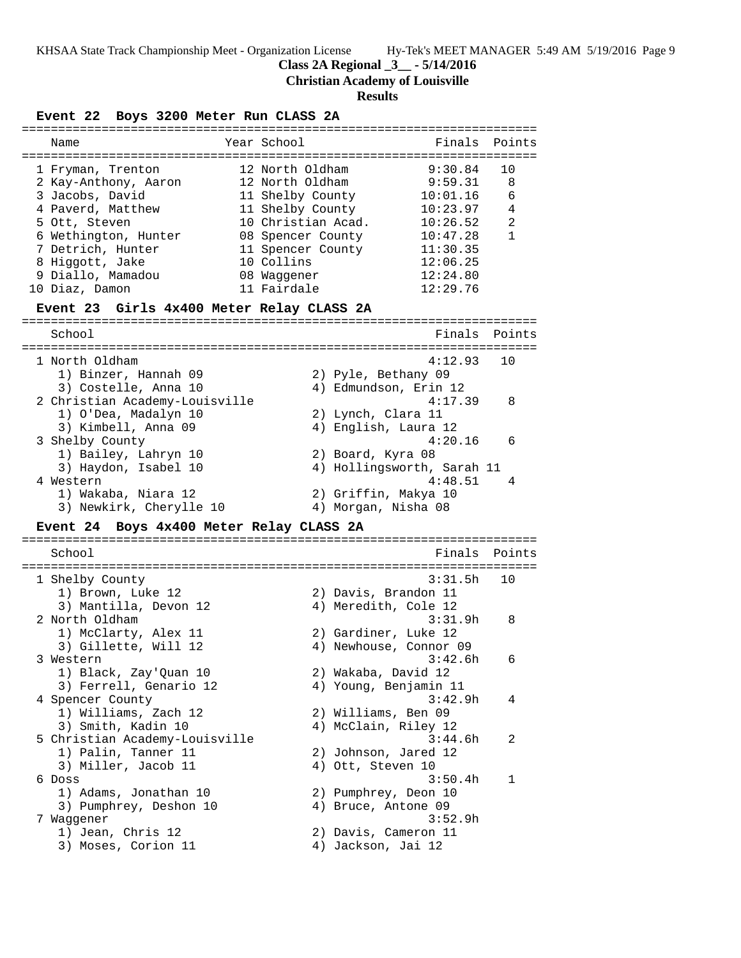**Class 2A Regional \_3\_\_ - 5/14/2016**

**Christian Academy of Louisville**

#### **Results**

### **Event 22 Boys 3200 Meter Run CLASS 2A** ======================================================================= Name Year School ======================================================================= 1 Fryman, Trenton 12 North Oldham 9:30.84 10 2 Kay-Anthony, Aaron 12 North Oldham 9:59.31 8 3 Jacobs, David 11 Shelby County 10:01.16 6 4 Paverd, Matthew 11 Shelby County 10:23.97 4 5 Ott, Steven 10 Christian Acad. 10:26.52 2 6 Wethington, Hunter 08 Spencer County 10:47.28 1 7 Detrich, Hunter 11 Spencer County 11:30.35 8 Higgott, Jake 10 Collins 12:06.25 9 Diallo, Mamadou 08 Waggener 12:24.80 10 Diaz, Damon 11 Fairdale 12:29.76 **Event 23 Girls 4x400 Meter Relay CLASS 2A** ======================================================================= School **Finals Points** ======================================================================= 1 North Oldham 4:12.93 10 1) Binzer, Hannah 09 2) Pyle, Bethany 09 3) Costelle, Anna 10 4) Edmundson, Erin 12 2 Christian Academy-Louisville 4:17.39 8 1) O'Dea, Madalyn 10 2) Lynch, Clara 11 3) Kimbell, Anna 09 1988 - 4 Menglish, Laura 12 3 Shelby County 4:20.16 6 1) Bailey, Lahryn 10 2) Board, Kyra 08 3) Haydon, Isabel 10 4) Hollingsworth, Sarah 11 4 Western 4:48.51 4 1) Wakaba, Niara 12 2) Griffin, Makya 10 3) Newkirk, Cherylle 10 4) Morgan, Nisha 08 **Event 24 Boys 4x400 Meter Relay CLASS 2A** ======================================================================= School Finals Points ======================================================================= 1 Shelby County 3:31.5h 10 1) Brown, Luke 12 2) Davis, Brandon 11 3) Mantilla, Devon 12 (4) Meredith, Cole 12 2 North Oldham 3:31.9h 8 1) McClarty, Alex 11 2) Gardiner, Luke 12 3) Gillette, Will 12 4) Newhouse, Connor 09 3 Western 3:42.6h 6 1) Black, Zay'Quan 10 2) Wakaba, David 12 3) Ferrell, Genario 12 4) Young, Benjamin 11 4 Spencer County 3:42.9h 4 1) Williams, Zach 12 2) Williams, Ben 09 3) Smith, Kadin 10 4) McClain, Riley 12 5 Christian Academy-Louisville 3:44.6h 2 1) Palin, Tanner 11 2) Johnson, Jared 12 3) Miller, Jacob 11 (4) Ott, Steven 10 1) Palin, Tanner 11<br>
3) Miller, Jacob 11<br>
6 Doss<br>
3:50.4h 1 1) Adams, Jonathan 10 2) Pumphrey, Deon 10<br>3) Pumphrey, Deshon 10 4) Bruce, Antone 09 1) Adams, Jonathan 10 (2) Pumphrey, Deon 10<br>3) Pumphrey, Deshon 10 (4) Bruce, Antone 09<br>7 Waggener (3:52.9h 7 Waggener 3:52.9h 1) Jean, Chris 12 2) Davis, Cameron 11 3) Moses, Corion 11 (4) Jackson, Jai 12